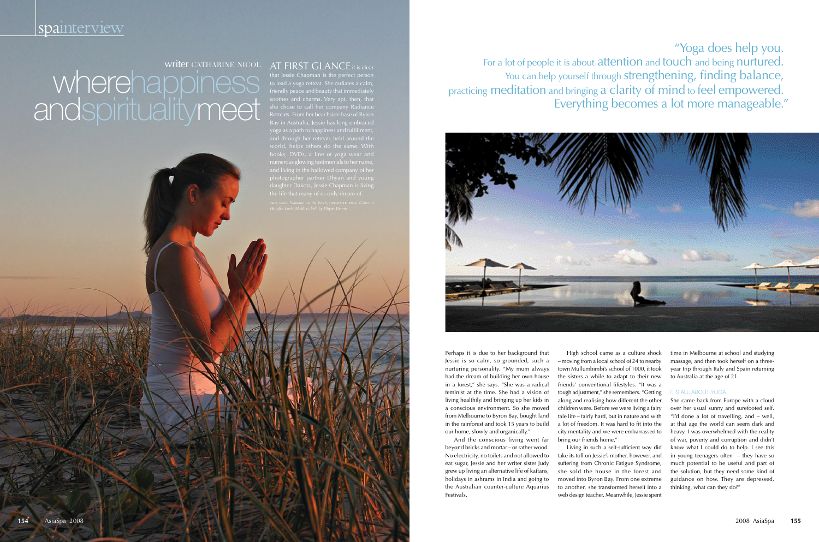#### writer CATHARINE NICOL AT FIRST GLANCE it is clear

that Jessie Chapman is the perfect person to lead a yoga retreat. She radiates a calm, friendly peace and beauty that immediately soothes and charms. Very apt, then, that she chose to call her company Radiance Retreats. From her beachside base of Byron yoga as a path to happiness and fulfillment, world, helps others do the same. With books, DVDs, a line of yoga wear and numerous glowing testimonials to her name, daughter Dakota, Jessie Chapman is living

WHEIRHADDINESS The reflect person wherehald a yoga retreat. She radiates a calm,<br>
wherehald a yoga retreat. She radiates a calm,<br>
soothes and charms. Very apt, then, that<br>
soothes and charms. Very apt, then, that<br>
soothes "Yoga does help you. For a lot of people it is about attention and touch and being nurtured. You can help yourself through strengthening, finding balance, practicing meditation and bringing a clarity of mind to feel empowered.<br>"Everything becomes a lot more manageable."



Perhaps it is due to her background that Jessie is so calm, so grounded, such a nurturing personality. "My mum always had the dream of building her own house in a forest," she says. "She was a radical feminist at the time. She had a vision of living healthily and bringing up her kids in a conscious environment. So she moved from Melbourne to Byron Bay, bought land in the rainforest and took 15 years to build our home, slowly and organically."

And the conscious living went far beyond bricks and mortar – or rather wood. No electricity, no toilets and not allowed to eat sugar, Jessie and her writer sister Judy grew up living an alternative life of kaftans, holidays in ashrams in India and going to the Australian counter-culture Aquarius Festivals.

High school came as a culture shock – moving from a local school of 24 to nearby town Mullumbimbi's school of 1000, it took the sisters a while to adapt to their new friends' conventional lifestyles. "It was a tough adjustment," she remembers. "Getting along and realising how different the other children were. Before we were living a fairy tale life – fairly hard, but in nature and with a lot of freedom. It was hard to fit into the city mentality and we were embarrassed to bring our friends home." Living in such a self-sufficient way did take its toll on Jessie's mother, however, and suffering from Chronic Fatigue Syndrome,

she sold the house in the forest and moved into Byron Bay. From one extreme to another, she transformed herself into a web design teacher. Meanwhile, Jessie spent

time in Melbourne at school and studying massage, and then took herself on a threeyear trip through Italy and Spain returning to Australia at the age of 21.

# **IT'S ALL ABOUT YOGA**

She came back from Europe with a cloud over her usual sunny and surefooted self. "I'd done a lot of travelling, and – well, at that age the world can seem dark and heavy. I was overwhelmed with the reality of war, poverty and corruption and didn't know what I could do to help. I see this in young teenagers often – they have so much potential to be useful and part of the solution, but they need some kind of guidance on how. They are depressed, thinking, what can they do?"